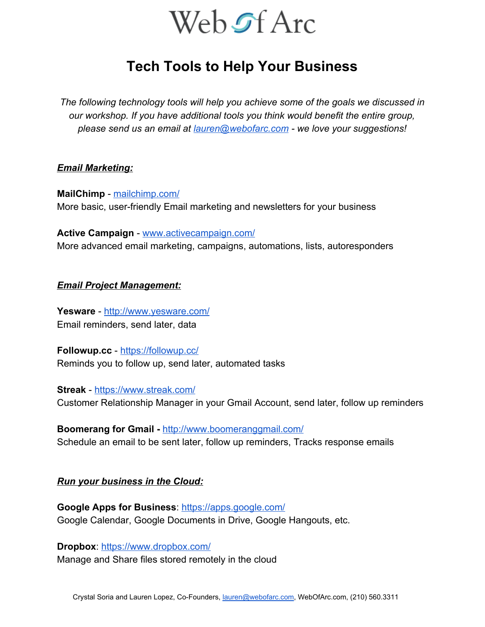

# **Tech Tools to Help Your Business**

*The following technology tools will help you achieve some of the goals we discussed in our workshop. If you have additional tools you think would benefit the entire group, please send us an email at [lauren@webofarc.com](mailto:lauren@webofarc.com)  we love your suggestions!* 

#### *Email Marketing:*

**MailChimp - [mailchimp.com/](http://mailchimp.com/)** More basic, user-friendly Email marketing and newsletters for your business

**Active Campaign - [www.activecampaign.com/](http://www.activecampaign.com/)** More advanced email marketing, campaigns, automations, lists, autoresponders

#### *Email Project Management:*

Yesware -<http://www.yesware.com/> Email reminders, send later, data

**Followup.cc** <https://followup.cc/> Reminds you to follow up, send later, automated tasks

**Streak** -<https://www.streak.com/> Customer Relationship Manager in your Gmail Account, send later, follow up reminders

**Boomerang for Gmail - <http://www.boomeranggmail.com/>** Schedule an email to be sent later, follow up reminders, Tracks response emails

# *Run your business in the Cloud:*

**Google Apps for Business**:<https://apps.google.com/> Google Calendar, Google Documents in Drive, Google Hangouts, etc.

**Dropbox**: <https://www.dropbox.com/> Manage and Share files stored remotely in the cloud